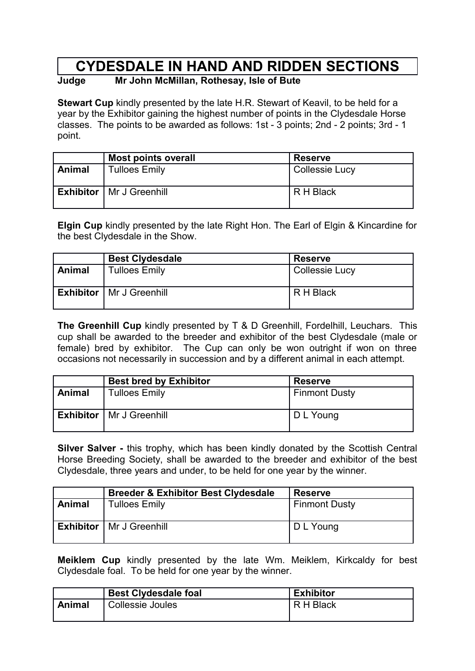# **CYDESDALE IN HAND AND RIDDEN SECTIONS**

## **Judge Mr John McMillan, Rothesay, Isle of Bute**

**Stewart Cup** kindly presented by the late H.R. Stewart of Keavil, to be held for a year by the Exhibitor gaining the highest number of points in the Clydesdale Horse classes. The points to be awarded as follows: 1st - 3 points; 2nd - 2 points; 3rd - 1 point.

|               | Most points overall               | <b>Reserve</b>        |
|---------------|-----------------------------------|-----------------------|
| <b>Animal</b> | <b>Tulloes Emily</b>              | <b>Collessie Lucy</b> |
|               | <b>Exhibitor</b>   Mr J Greenhill | R H Black             |

**Elgin Cup** kindly presented by the late Right Hon. The Earl of Elgin & Kincardine for the best Clydesdale in the Show.

|               | <b>Best Clydesdale</b>            | <b>Reserve</b>        |
|---------------|-----------------------------------|-----------------------|
| <b>Animal</b> | <b>Tulloes Emily</b>              | <b>Collessie Lucy</b> |
|               | <b>Exhibitor</b>   Mr J Greenhill | R H Black             |

**The Greenhill Cup** kindly presented by T & D Greenhill, Fordelhill, Leuchars. This cup shall be awarded to the breeder and exhibitor of the best Clydesdale (male or female) bred by exhibitor. The Cup can only be won outright if won on three occasions not necessarily in succession and by a different animal in each attempt.

|        | <b>Best bred by Exhibitor</b>     | <b>Reserve</b>       |
|--------|-----------------------------------|----------------------|
| Animal | <b>Tulloes Emily</b>              | <b>Finmont Dusty</b> |
|        | <b>Exhibitor</b>   Mr J Greenhill | D L Young            |

**Silver Salver -** this trophy, which has been kindly donated by the Scottish Central Horse Breeding Society, shall be awarded to the breeder and exhibitor of the best Clydesdale, three years and under, to be held for one year by the winner.

|        | <b>Breeder &amp; Exhibitor Best Clydesdale</b> | <b>Reserve</b>       |
|--------|------------------------------------------------|----------------------|
| Animal | <b>Tulloes Emily</b>                           | <b>Finmont Dusty</b> |
|        | <b>Exhibitor</b>   Mr J Greenhill              | D L Young            |

**Meiklem Cup** kindly presented by the late Wm. Meiklem, Kirkcaldy for best Clydesdale foal. To be held for one year by the winner.

|        | <b>Best Clydesdale foal</b> | <b>Exhibitor</b> |
|--------|-----------------------------|------------------|
| Animal | <b>Collessie Joules</b>     | R H Black        |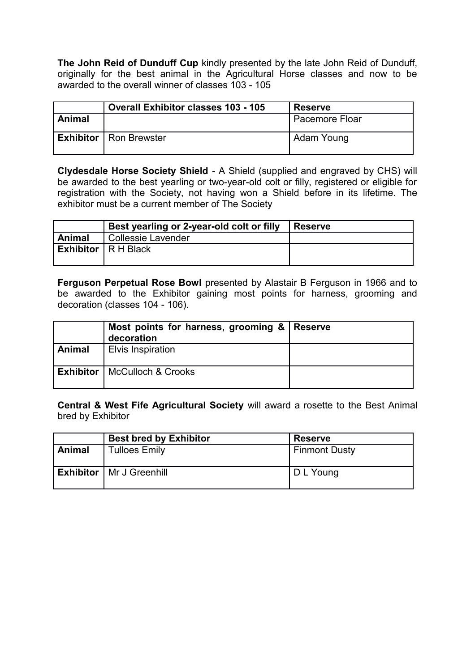**The John Reid of Dunduff Cup** kindly presented by the late John Reid of Dunduff, originally for the best animal in the Agricultural Horse classes and now to be awarded to the overall winner of classes 103 - 105

|        | <b>Overall Exhibitor classes 103 - 105</b> | <b>Reserve</b>          |
|--------|--------------------------------------------|-------------------------|
| Animal |                                            | <b>Pacemore Floar</b>   |
|        | <b>Exhibitor</b>   Ron Brewster            | <sup>1</sup> Adam Young |

**Clydesdale Horse Society Shield** - A Shield (supplied and engraved by CHS) will be awarded to the best yearling or two-year-old colt or filly, registered or eligible for registration with the Society, not having won a Shield before in its lifetime. The exhibitor must be a current member of The Society

|        | Best yearling or 2-year-old colt or filly | ∣ Reserve |
|--------|-------------------------------------------|-----------|
| Animal | Collessie Lavender                        |           |
|        | <b>Exhibitor</b> $\vert$ R H Black        |           |
|        |                                           |           |

**Ferguson Perpetual Rose Bowl** presented by Alastair B Ferguson in 1966 and to be awarded to the Exhibitor gaining most points for harness, grooming and decoration (classes 104 - 106).

|               | Most points for harness, grooming & Reserve<br>decoration |  |
|---------------|-----------------------------------------------------------|--|
| <b>Animal</b> | <b>Elvis Inspiration</b>                                  |  |
|               | <b>Exhibitor</b>   McCulloch & Crooks                     |  |

**Central & West Fife Agricultural Society** will award a rosette to the Best Animal bred by Exhibitor

|        | <b>Best bred by Exhibitor</b>     | <b>Reserve</b>       |
|--------|-----------------------------------|----------------------|
| Animal | <b>Tulloes Emily</b>              | <b>Finmont Dusty</b> |
|        | <b>Exhibitor</b>   Mr J Greenhill | D L Young            |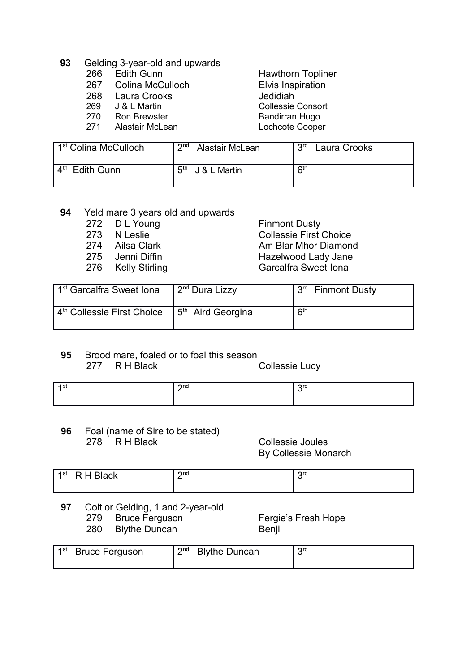### **93** Gelding 3-year-old and upwards

- 266 Edith Gunn Hawthorn Topliner
- 267 Colina McCulloch Elvis Inspiration
- 268 Laura Crooks Jedidiah
- 269 J & L Martin Collessie Consort
- 
- 

270 Ron Brewster Bandirran Hugo Lochcote Cooper

| 1 <sup>st</sup> Colina McCulloch             | ∩ת∩<br>Alastair McLean      | 2rd<br>Laura Crooks |
|----------------------------------------------|-----------------------------|---------------------|
| $\mathbf{\Lambda}^{\text{th}}$<br>Edith Gunn | <b>д</b> th<br>J & L Martin | $R^{th}$            |

## **94** Yeld mare 3 years old and upwards

- 
- 
- 
- 
- 

272 D L Young Finmont Dusty<br>273 N Leslie Collessie First ( Collessie First Choice 274 Ailsa Clark **Am Blar Mhor Diamond** 275 Jenni Diffin **Hazelwood Lady Jane** 276 Kelly Stirling Carcalfra Sweet Iona

| 1 <sup>st</sup> Garcalfra Sweet Iona   | ∟2 <sup>nd</sup> Dura Lizzy                 | 3 <sup>rd</sup><br><b>Finmont Dusty</b> |
|----------------------------------------|---------------------------------------------|-----------------------------------------|
| 4 <sup>th</sup> Collessie First Choice | $\frac{1}{2}$ 5 <sup>th</sup> Aird Georgina | <b>R<sup>th</sup></b>                   |

## **95** Brood mare, foaled or to foal this season

277 R H Black Collessie Lucy

| $\Omega$ nd | $\sim$ red |
|-------------|------------|
|             |            |

**96** Foal (name of Sire to be stated)<br>278 R H Black

Collessie Joules By Collessie Monarch

| <b>TIME</b><br>⊺ –1 st<br>R<br>$\sim$<br>-<br>- | $\Omega$ nd<br>- | ord |  |
|-------------------------------------------------|------------------|-----|--|
|                                                 |                  |     |  |

- **97** Colt or Gelding, 1 and 2-year-old
	- 279 Bruce Ferguson **Fergie's Fresh Hope**
	- 280 Blythe Duncan Benji

|  | 1 <sup>st</sup> Bruce Ferguson |  | 2 <sup>nd</sup> Blythe Duncan | ord |
|--|--------------------------------|--|-------------------------------|-----|
|--|--------------------------------|--|-------------------------------|-----|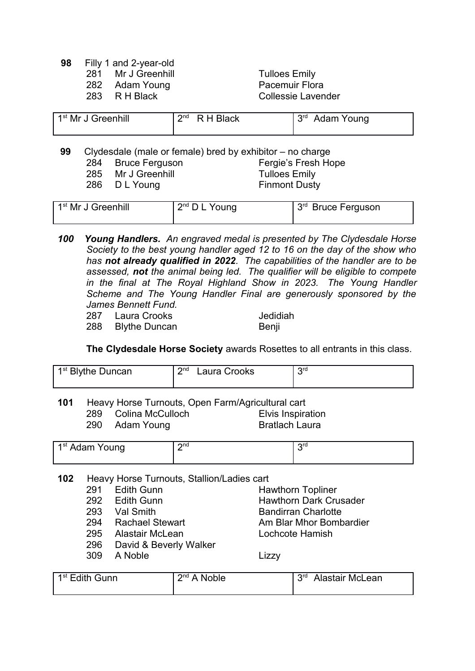- **98** Filly 1 and 2-year-old
	- 281 Mr J Greenhill **Tulloes Emily**
	- 282 Adam Young **Pacemuir Flora**
	-

283 R H Black Collessie Lavender

| 1 <sup>st</sup> Mr J Greenhill | $2^{nd}$ R H Black | ્વા <sub>α</sub><br>Adam Young |
|--------------------------------|--------------------|--------------------------------|
|                                |                    |                                |

**99** Clydesdale (male or female) bred by exhibitor – no charge 284 Bruce Ferguson Fergie's Fresh Hope 285 Mr J Greenhill **Tulloes Emily** 286 D L Young Finmont Dusty

| 1 <sup>st</sup> Mr J Greenhill | $2^{nd}$ D L Young | $3rd$ Bruce Ferguson |
|--------------------------------|--------------------|----------------------|
|--------------------------------|--------------------|----------------------|

- *100 Young Handlers. An engraved medal is presented by The Clydesdale Horse Society to the best young handler aged 12 to 16 on the day of the show who has not already qualified in 2022. The capabilities of the handler are to be assessed, not the animal being led. The qualifier will be eligible to compete in the final at The Royal Highland Show in 2023. The Young Handler Scheme and The Young Handler Final are generously sponsored by the James Bennett Fund.*
	- 287 Laura Crooks Jedidiah 288 Blythe Duncan Benji

**The Clydesdale Horse Society** awards Rosettes to all entrants in this class.

| 1 <sup>st</sup> Blythe Duncan | $\mathbf{\Omega}$ nd<br>Laura Crooks | ord |
|-------------------------------|--------------------------------------|-----|
|-------------------------------|--------------------------------------|-----|

**101** Heavy Horse Turnouts, Open Farm/Agricultural cart 289 Colina McCulloch Elvis Inspiration Adam Young

| 1 <sup>st</sup> Adam Young | $\Omega$ nd | ord |
|----------------------------|-------------|-----|
|                            |             |     |

- **102** Heavy Horse Turnouts, Stallion/Ladies cart
	- 291 Edith Gunn Hawthorn Topliner
	-
	-
	-
	- 295 Alastair McLean Lochcote Hamish
	- 296 David & Beverly Walker
	- 309 A Noble Lizzy

292 Edith Gunn **Hawthorn Dark Crusader** 293 Val Smith Bandirran Charlotte 294 Rachael Stewart **Am Blar Mhor Bombardier** 

| 1 <sup>st</sup> Edith Gunn | $2^{nd}$ $\Lambda$<br><b>Noble</b> | <b>S</b> td<br>Alastair McLean |
|----------------------------|------------------------------------|--------------------------------|
|                            |                                    |                                |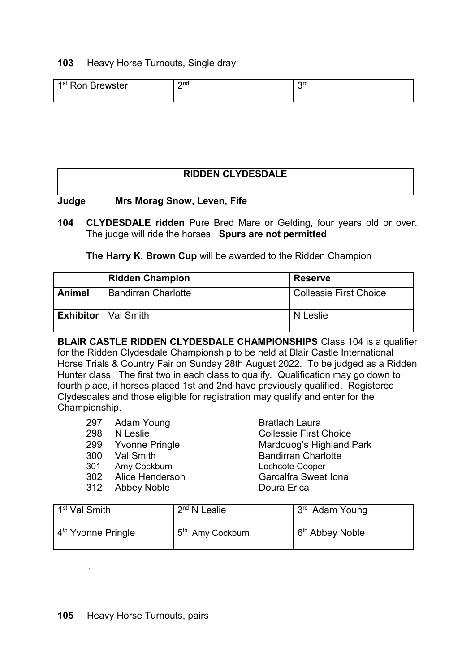## **103** Heavy Horse Turnouts, Single dray

| 1st<br>3rewster<br>Ron | $2n$ d<br>- | ora |
|------------------------|-------------|-----|
|                        |             |     |

### **RIDDEN CLYDESDALE**

### **Judge Mrs Morag Snow, Leven, Fife**

**104 CLYDESDALE ridden** Pure Bred Mare or Gelding, four years old or over. The judge will ride the horses. **Spurs are not permitted**

**The Harry K. Brown Cup** will be awarded to the Ridden Champion

|                              | <b>Ridden Champion</b>     | <b>Reserve</b>                |
|------------------------------|----------------------------|-------------------------------|
| Animal                       | <b>Bandirran Charlotte</b> | <b>Collessie First Choice</b> |
| <b>Exhibitor</b>   Val Smith |                            | N Leslie                      |

**BLAIR CASTLE RIDDEN CLYDESDALE CHAMPIONSHIPS** Class 104 is a qualifier for the Ridden Clydesdale Championship to be held at Blair Castle International Horse Trials & Country Fair on Sunday 28th August 2022. To be judged as a Ridden Hunter class. The first two in each class to qualify. Qualification may go down to fourth place, if horses placed 1st and 2nd have previously qualified. Registered Clydesdales and those eligible for registration may qualify and enter for the Championship.

|     | 297 Adam Young      | <b>Bratlach Laura</b>         |
|-----|---------------------|-------------------------------|
|     | 298 N Leslie        | <b>Collessie First Choice</b> |
|     | 299 Yvonne Pringle  | Mardouog's Highland Park      |
|     | 300 Val Smith       | <b>Bandirran Charlotte</b>    |
|     | 301 Amy Cockburn    | Lochcote Cooper               |
|     | 302 Alice Henderson | <b>Garcalfra Sweet Iona</b>   |
| 312 | Abbey Noble         | Doura Erica                   |

| 1 <sup>st</sup> Val Smith        | $2nd$ N Leslie               | 3rd Adam Young              |
|----------------------------------|------------------------------|-----------------------------|
| . 4 <sup>th</sup> Yvonne Pringle | 5 <sup>th</sup> Amy Cockburn | 6 <sup>th</sup> Abbey Noble |

.